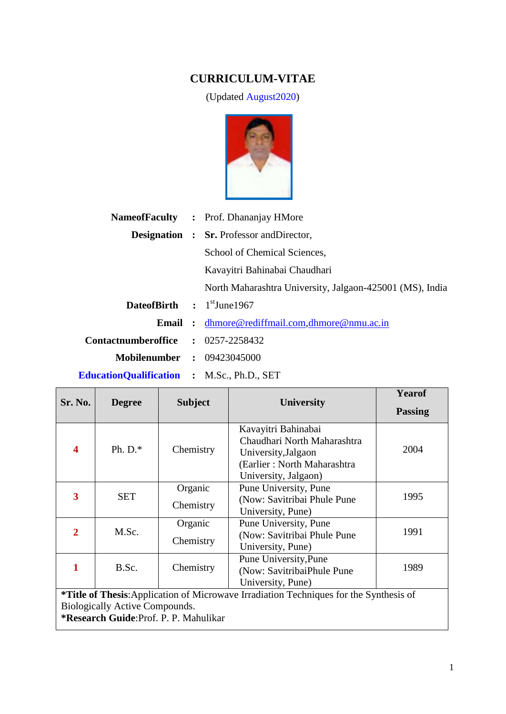# **CURRICULUM-VITAE**

(Updated August2020)



|                                                   | <b>NameofFaculty</b> : Prof. Dhananjay HMore             |
|---------------------------------------------------|----------------------------------------------------------|
|                                                   | <b>Designation : Sr.</b> Professor and Director,         |
|                                                   | School of Chemical Sciences,                             |
|                                                   | Kavayitri Bahinabai Chaudhari                            |
|                                                   | North Maharashtra University, Jalgaon-425001 (MS), India |
| <b>DateofBirth</b> : 1 <sup>st</sup> June1967     |                                                          |
|                                                   | <b>Email</b> : dhmore@rediffmail.com,dhmore@nmu.ac.in    |
| Contactnumberoffice : 0257-2258432                |                                                          |
| <b>Mobilenumber : 09423045000</b>                 |                                                          |
| <b>EducationQualification : M.Sc., Ph.D., SET</b> |                                                          |

|                                                                                                                                                                    |               |                      |                                                                                                                                  | <b>Yearof</b>  |  |
|--------------------------------------------------------------------------------------------------------------------------------------------------------------------|---------------|----------------------|----------------------------------------------------------------------------------------------------------------------------------|----------------|--|
| <b>Sr. No.</b>                                                                                                                                                     | <b>Degree</b> | <b>Subject</b>       | <b>University</b>                                                                                                                | <b>Passing</b> |  |
| $\boldsymbol{\Lambda}$                                                                                                                                             | Ph. $D.*$     | Chemistry            | Kavayitri Bahinabai<br>Chaudhari North Maharashtra<br>University, Jalgaon<br>(Earlier: North Maharashtra<br>University, Jalgaon) | 2004           |  |
| 3                                                                                                                                                                  | <b>SET</b>    | Organic<br>Chemistry | Pune University, Pune<br>(Now: Savitribai Phule Pune)<br>University, Pune)                                                       | 1995           |  |
| $\mathbf{2}$                                                                                                                                                       | M.Sc.         | Organic<br>Chemistry | Pune University, Pune<br>(Now: Savitribai Phule Pune)<br>University, Pune)                                                       | 1991           |  |
| 1                                                                                                                                                                  | B.Sc.         | Chemistry            | Pune University, Pune<br>(Now: SavitribaiPhule Pune<br>University, Pune)                                                         | 1989           |  |
| *Title of Thesis: Application of Microwave Irradiation Techniques for the Synthesis of<br>Biologically Active Compounds.<br>*Research Guide: Prof. P. P. Mahulikar |               |                      |                                                                                                                                  |                |  |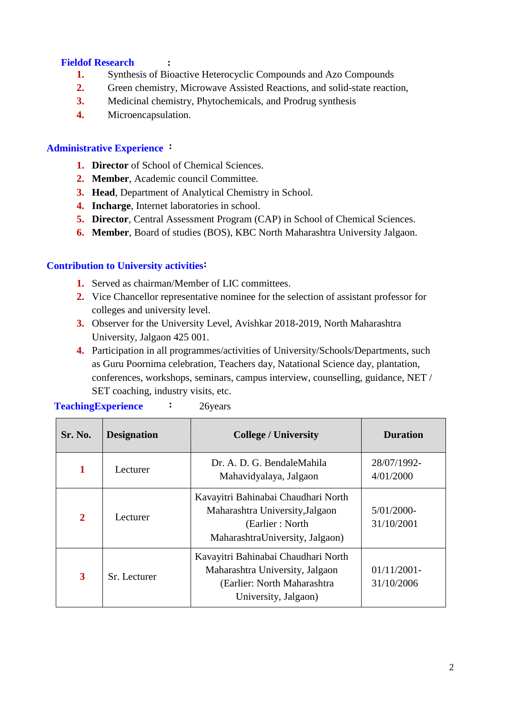# **Fieldof Research :**

- **1.** Synthesis of Bioactive Heterocyclic Compounds and Azo Compounds
- **2.** Green chemistry, Microwave Assisted Reactions, and solid-state reaction,
- **3.** Medicinal chemistry, Phytochemicals, and Prodrug synthesis
- **4.** Microencapsulation.

### **Administrative Experience :**

- **1. Director** of School of Chemical Sciences.
- **2. Member**, Academic council Committee.
- **3. Head**, Department of Analytical Chemistry in School.
- **4. Incharge**, Internet laboratories in school.
- **5. Director**, Central Assessment Program (CAP) in School of Chemical Sciences.
- **6. Member**, Board of studies (BOS), KBC North Maharashtra University Jalgaon.

## **Contribution to University activities:**

- **1.** Served as chairman/Member of LIC committees.
- **2.** Vice Chancellor representative nominee for the selection of assistant professor for colleges and university level.
- **3.** Observer for the University Level, Avishkar 2018-2019, North Maharashtra University, Jalgaon 425 001.
- **4.** Participation in all programmes/activities of University/Schools/Departments, such as Guru Poornima celebration, Teachers day, Natational Science day, plantation, conferences, workshops, seminars, campus interview, counselling, guidance, NET / SET coaching, industry visits, etc.

| Sr. No.      | <b>Designation</b>                                                                                                                            | <b>College / University</b>                                                                                                   | <b>Duration</b>              |
|--------------|-----------------------------------------------------------------------------------------------------------------------------------------------|-------------------------------------------------------------------------------------------------------------------------------|------------------------------|
|              | Lecturer                                                                                                                                      | Dr. A. D. G. BendaleMahila<br>Mahavidyalaya, Jalgaon                                                                          | 28/07/1992-<br>4/01/2000     |
| $\mathbf{2}$ | Lecturer                                                                                                                                      | Kavayitri Bahinabai Chaudhari North<br>Maharashtra University, Jalgaon<br>(Earlier: North)<br>MaharashtraUniversity, Jalgaon) | $5/01/2000$ -<br>31/10/2001  |
| 3            | Kavayitri Bahinabai Chaudhari North<br>Maharashtra University, Jalgaon<br>Sr. Lecturer<br>(Earlier: North Maharashtra<br>University, Jalgaon) |                                                                                                                               | $01/11/2001$ -<br>31/10/2006 |

**TeachingExperience :** 26years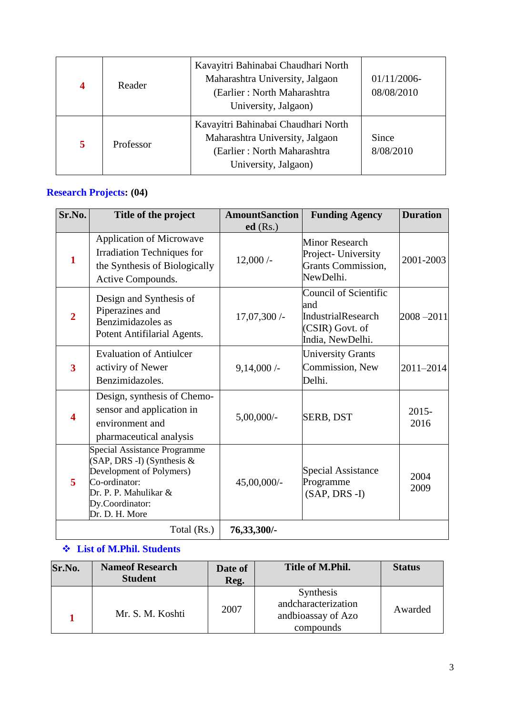| $\overline{\mathbf{4}}$ | Reader    | Kavayitri Bahinabai Chaudhari North<br>Maharashtra University, Jalgaon<br>(Earlier: North Maharashtra<br>University, Jalgaon) | $01/11/2006$ -<br>08/08/2010 |
|-------------------------|-----------|-------------------------------------------------------------------------------------------------------------------------------|------------------------------|
| 5                       | Professor | Kavayitri Bahinabai Chaudhari North<br>Maharashtra University, Jalgaon<br>(Earlier: North Maharashtra<br>University, Jalgaon) | Since<br>8/08/2010           |

# **Research Projects: (04)**

| Sr.No.                  | Title of the project                                                                                                                                                     | <b>AmountSanction</b> | <b>Funding Agency</b>                                                                            | <b>Duration</b>  |
|-------------------------|--------------------------------------------------------------------------------------------------------------------------------------------------------------------------|-----------------------|--------------------------------------------------------------------------------------------------|------------------|
| $\mathbf{1}$            | <b>Application of Microwave</b><br>Irradiation Techniques for<br>the Synthesis of Biologically<br>Active Compounds.                                                      | $ed$ (Rs.)<br>12,000/ | Minor Research<br>Project-University<br><b>Grants Commission,</b><br>NewDelhi.                   | 2001-2003        |
| $\overline{2}$          | Design and Synthesis of<br>Piperazines and<br>Benzimidazoles as<br>Potent Antifilarial Agents.                                                                           | 17,07,300 /-          | Council of Scientific<br>and<br><b>IndustrialResearch</b><br>(CSIR) Govt. of<br>India, NewDelhi. | $2008 - 2011$    |
| $\overline{\mathbf{3}}$ | <b>Evaluation of Antiulcer</b><br>activiry of Newer<br>Benzimidazoles.                                                                                                   | $9,14,000/$ -         | <b>University Grants</b><br>Commission, New<br>Delhi.                                            | 2011-2014        |
| $\overline{\mathbf{4}}$ | Design, synthesis of Chemo-<br>sensor and application in<br>environment and<br>pharmaceutical analysis                                                                   | $5,00,000/$ -         | <b>SERB, DST</b>                                                                                 | $2015 -$<br>2016 |
| 5                       | Special Assistance Programme<br>$(SAP, DRS - I)$ (Synthesis &<br>Development of Polymers)<br>Co-ordinator:<br>Dr. P. P. Mahulikar &<br>Dy.Coordinator:<br>Dr. D. H. More | 45,00,000/-           | <b>Special Assistance</b><br>Programme<br>$(SAP, DRS - I)$                                       | 2004<br>2009     |
|                         | Total (Rs.)                                                                                                                                                              | 76, 33, 300/-         |                                                                                                  |                  |

# **List of M.Phil. Students**

| Sr.No. | <b>Nameof Research</b><br><b>Student</b> | Date of<br>Reg. | Title of M.Phil.                                                    | <b>Status</b> |
|--------|------------------------------------------|-----------------|---------------------------------------------------------------------|---------------|
|        | Mr. S. M. Koshti                         | 2007            | Synthesis<br>andcharacterization<br>andbioassay of Azo<br>compounds | Awarded       |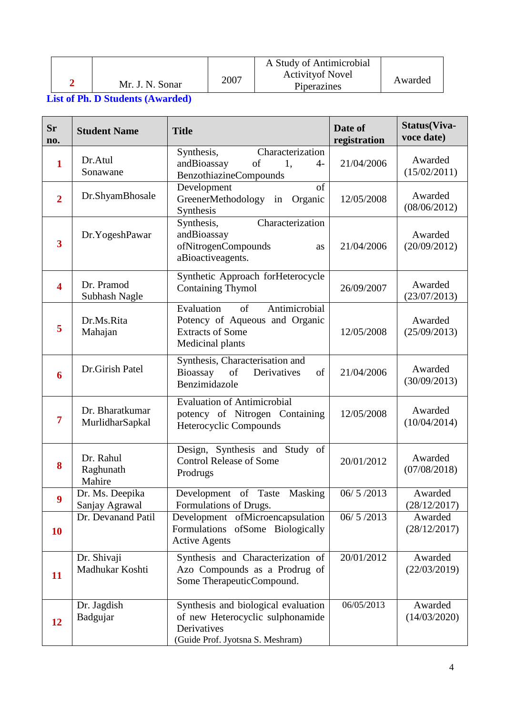|                 |      | A Study of Antimicrobial                |         |
|-----------------|------|-----------------------------------------|---------|
| Mr. J. N. Sonar | 2007 | <b>Activity of Novel</b><br>Piperazines | Awarded |

**List of Ph. D Students (Awarded)**

| Sr<br>no.               | <b>Student Name</b>                | <b>Title</b>                                                                                                               | Date of<br>registration | Status(Viva-<br>voce date) |
|-------------------------|------------------------------------|----------------------------------------------------------------------------------------------------------------------------|-------------------------|----------------------------|
| $\mathbf{1}$            | Dr.Atul<br>Sonawane                | Characterization<br>Synthesis,<br>andBioassay<br>of<br>1,<br>$4-$<br><b>BenzothiazineCompounds</b>                         | 21/04/2006              | Awarded<br>(15/02/2011)    |
| $\overline{2}$          | Dr.ShyamBhosale                    | Development<br>of<br>GreenerMethodology in Organic<br>Synthesis                                                            | 12/05/2008              | Awarded<br>(08/06/2012)    |
| $\overline{\mathbf{3}}$ | Dr.YogeshPawar                     | Characterization<br>Synthesis,<br>andBioassay<br>ofNitrogenCompounds<br><b>as</b><br>aBioactiveagents.                     | 21/04/2006              | Awarded<br>(20/09/2012)    |
| $\overline{\mathbf{4}}$ | Dr. Pramod<br>Subhash Nagle        | Synthetic Approach forHeterocycle<br><b>Containing Thymol</b>                                                              | 26/09/2007              | Awarded<br>(23/07/2013)    |
| 5                       | Dr.Ms.Rita<br>Mahajan              | Antimicrobial<br>Evaluation<br>of<br>Potency of Aqueous and Organic<br><b>Extracts of Some</b><br>Medicinal plants         | 12/05/2008              | Awarded<br>(25/09/2013)    |
| 6                       | Dr.Girish Patel                    | Synthesis, Characterisation and<br>Bioassay<br>of<br>Derivatives<br>of<br>Benzimidazole                                    | 21/04/2006              | Awarded<br>(30/09/2013)    |
| 7                       | Dr. Bharatkumar<br>MurlidharSapkal | <b>Evaluation of Antimicrobial</b><br>potency of Nitrogen Containing<br>Heterocyclic Compounds                             | 12/05/2008              | Awarded<br>(10/04/2014)    |
| 8                       | Dr. Rahul<br>Raghunath<br>Mahire   | Design, Synthesis and Study of<br><b>Control Release of Some</b><br>Prodrugs                                               | 20/01/2012              | Awarded<br>(07/08/2018)    |
| 9                       | Dr. Ms. Deepika<br>Sanjay Agrawal  | Masking<br>Taste<br>Development of<br>Formulations of Drugs.                                                               | 06/5/2013               | Awarded<br>(28/12/2017)    |
| <b>10</b>               | Dr. Devanand Patil                 | Development ofMicroencapsulation<br>Formulations of Some Biologically<br><b>Active Agents</b>                              | 06/5/2013               | Awarded<br>(28/12/2017)    |
| 11                      | Dr. Shivaji<br>Madhukar Koshti     | Synthesis and Characterization of<br>Azo Compounds as a Prodrug of<br>Some TherapeuticCompound.                            | 20/01/2012              | Awarded<br>(22/03/2019)    |
| 12                      | Dr. Jagdish<br>Badgujar            | Synthesis and biological evaluation<br>of new Heterocyclic sulphonamide<br>Derivatives<br>(Guide Prof. Jyotsna S. Meshram) | 06/05/2013              | Awarded<br>(14/03/2020)    |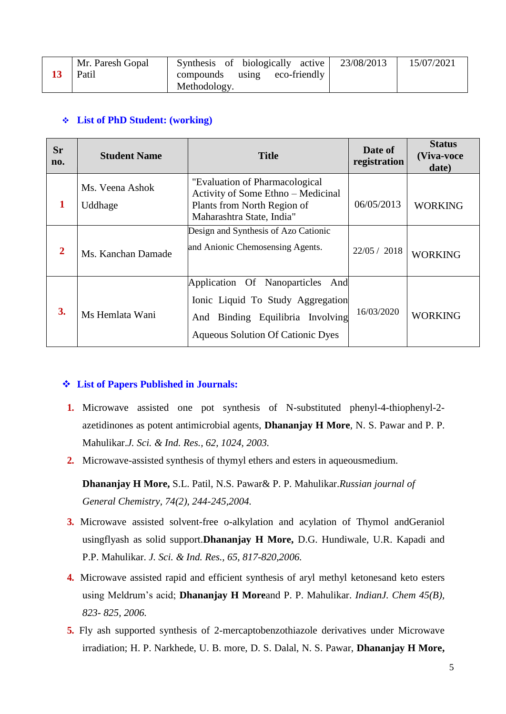|  | Mr. Paresh Gopal<br>Patil | Synthesis of biologically active<br>eco-friendly<br>compounds using<br>Methodology. | 23/08/2013 | 15/07/2021 |
|--|---------------------------|-------------------------------------------------------------------------------------|------------|------------|
|--|---------------------------|-------------------------------------------------------------------------------------|------------|------------|

# **List of PhD Student: (working)**

| <b>Sr</b><br>no. | <b>Student Name</b>        | <b>Title</b>                                                                                                                                                | Date of<br>registration | <b>Status</b><br>(Viva-voce<br>date) |
|------------------|----------------------------|-------------------------------------------------------------------------------------------------------------------------------------------------------------|-------------------------|--------------------------------------|
|                  | Ms. Veena Ashok<br>Uddhage | "Evaluation of Pharmacological"<br>Activity of Some Ethno - Medicinal<br>Plants from North Region of<br>Maharashtra State, India"                           | 06/05/2013              | <b>WORKING</b>                       |
| $\mathbf{2}$     | Ms. Kanchan Damade         | Design and Synthesis of Azo Cationic<br>and Anionic Chemosensing Agents.                                                                                    | 22/05 / 2018            | <b>WORKING</b>                       |
| 3.               | Ms Hemlata Wani            | Application Of Nanoparticles<br>And<br>Ionic Liquid To Study Aggregation<br>Binding Equilibria Involving<br>And<br><b>Aqueous Solution Of Cationic Dyes</b> | 16/03/2020              | <b>WORKING</b>                       |

#### **List of Papers Published in Journals:**

- **1.** Microwave assisted one pot synthesis of N-substituted phenyl-4-thiophenyl-2 azetidinones as potent antimicrobial agents, **Dhananjay H More**, N. S. Pawar and P. P. Mahulikar.*J. Sci. & Ind. Res., 62, 1024, 2003.*
- **2.** Microwave-assisted synthesis of thymyl ethers and esters in aqueousmedium.

**Dhananjay H More,** S.L. Patil, N.S. Pawar& P. P. Mahulikar.*Russian journal of General Chemistry, 74(2), 244-245,2004.*

- **3.** Microwave assisted solvent-free o-alkylation and acylation of Thymol andGeraniol usingflyash as solid support.**Dhananjay H More,** D.G. Hundiwale, U.R. Kapadi and P.P. Mahulikar. *J. Sci. & Ind. Res., 65, 817-820,2006.*
- **4.** Microwave assisted rapid and efficient synthesis of aryl methyl ketonesand keto esters using Meldrum's acid; **Dhananjay H More**and P. P. Mahulikar. *IndianJ. Chem 45(B), 823- 825, 2006.*
- **5.** Fly ash supported synthesis of 2-mercaptobenzothiazole derivatives under Microwave irradiation; H. P. Narkhede, U. B. more, D. S. Dalal, N. S. Pawar, **Dhananjay H More,**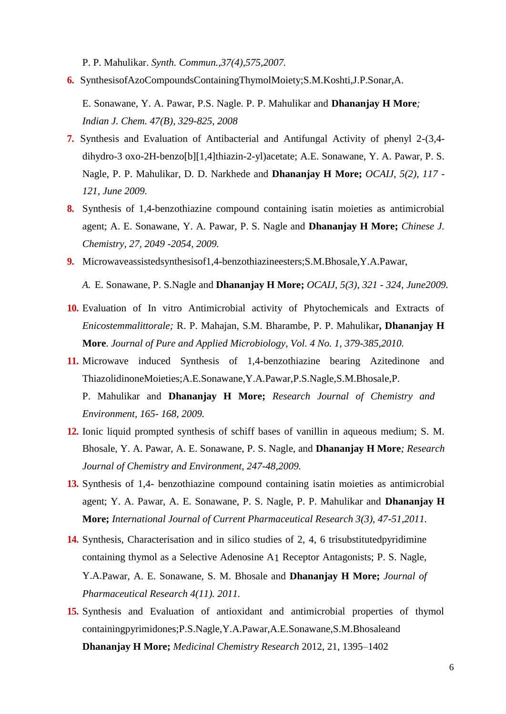P. P. Mahulikar. *Synth. Commun.,37(4),575,2007.*

**6.** SynthesisofAzoCompoundsContainingThymolMoiety;S.M.Koshti,J.P.Sonar,A.

E. Sonawane, Y. A. Pawar, P.S. Nagle. P. P. Mahulikar and **Dhananjay H More***; Indian J. Chem. 47(B), 329-825, 2008*

- **7.** Synthesis and Evaluation of Antibacterial and Antifungal Activity of phenyl 2-(3,4 dihydro-3 oxo-2H-benzo[b][1,4]thiazin-2-yl)acetate; A.E. Sonawane, Y. A. Pawar, P. S. Nagle, P. P. Mahulikar, D. D. Narkhede and **Dhananjay H More;** *OCAIJ, 5(2), 117 - 121, June 2009.*
- **8.** Synthesis of 1,4-benzothiazine compound containing isatin moieties as antimicrobial agent; A. E. Sonawane, Y. A. Pawar, P. S. Nagle and **Dhananjay H More;** *Chinese J. Chemistry, 27, 2049 -2054, 2009.*
- **9.** Microwaveassistedsynthesisof1,4-benzothiazineesters;S.M.Bhosale,Y.A.Pawar,

*A.* E. Sonawane, P. S.Nagle and **Dhananjay H More;** *OCAIJ, 5(3), 321 - 324, June2009.*

- **10.** Evaluation of In vitro Antimicrobial activity of Phytochemicals and Extracts of *Enicostemmalittorale;* R. P. Mahajan, S.M. Bharambe, P. P. Mahulikar**, Dhananjay H More**. *Journal of Pure and Applied Microbiology, Vol. 4 No. 1, 379-385,2010.*
- **11.** Microwave induced Synthesis of 1,4-benzothiazine bearing Azitedinone and ThiazolidinoneMoieties;A.E.Sonawane,Y.A.Pawar,P.S.Nagle,S.M.Bhosale,P. P. Mahulikar and **Dhananjay H More;** *Research Journal of Chemistry and Environment, 165- 168, 2009.*
- **12.** Ionic liquid prompted synthesis of schiff bases of vanillin in aqueous medium; S. M. Bhosale, Y. A. Pawar, A. E. Sonawane, P. S. Nagle, and **Dhananjay H More***; Research Journal of Chemistry and Environment, 247-48,2009.*
- **13.** Synthesis of 1,4- benzothiazine compound containing isatin moieties as antimicrobial agent; Y. A. Pawar, A. E. Sonawane, P. S. Nagle, P. P. Mahulikar and **Dhananjay H More;** *International Journal of Current Pharmaceutical Research 3(3), 47-51,2011.*
- **14.** Synthesis, Characterisation and in silico studies of 2, 4, 6 trisubstitutedpyridimine containing thymol as a Selective Adenosine A1 Receptor Antagonists; P. S. Nagle, Y.A.Pawar, A. E. Sonawane, S. M. Bhosale and **Dhananjay H More;** *Journal of Pharmaceutical Research 4(11). 2011.*
- **15.** Synthesis and Evaluation of antioxidant and antimicrobial properties of thymol containingpyrimidones;P.S.Nagle,Y.A.Pawar,A.E.Sonawane,S.M.Bhosaleand **Dhananjay H More;** *Medicinal Chemistry Research* 2012, 21, 1395–1402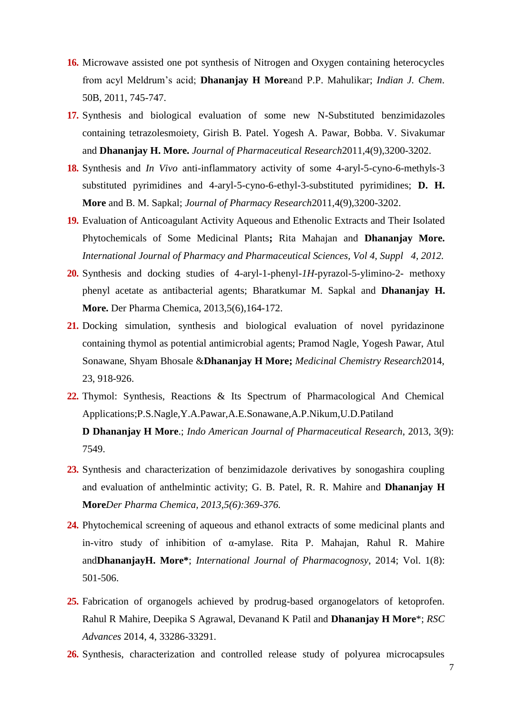- **16.** Microwave assisted one pot synthesis of Nitrogen and Oxygen containing heterocycles from acyl Meldrum's acid; **Dhananjay H More**and P.P. Mahulikar; *Indian J. Chem*. 50B, 2011, 745-747.
- **17.** Synthesis and biological evaluation of some new N-Substituted benzimidazoles containing tetrazolesmoiety, Girish B. Patel. Yogesh A. Pawar, Bobba. V. Sivakumar and **Dhananjay H. More.** *Journal of Pharmaceutical Research*2011,4(9),3200-3202.
- **18.** Synthesis and *In Vivo* anti-inflammatory activity of some 4-aryl-5-cyno-6-methyls-3 substituted pyrimidines and 4-aryl-5-cyno-6-ethyl-3-substituted pyrimidines; **D. H. More** and B. M. Sapkal; *Journal of Pharmacy Research*2011,4(9),3200-3202.
- **19.** Evaluation of Anticoagulant Activity Aqueous and Ethenolic Extracts and Their Isolated Phytochemicals of Some Medicinal Plants**;** Rita Mahajan and **Dhananjay More.**  *International Journal of Pharmacy and Pharmaceutical Sciences, Vol 4, Suppl 4, 2012.*
- **20.** Synthesis and docking studies of 4-aryl-1-phenyl-*1H*-pyrazol-5-ylimino-2- methoxy phenyl acetate as antibacterial agents; Bharatkumar M. Sapkal and **Dhananjay H. More.** Der Pharma Chemica, 2013,5(6),164-172.
- **21.** Docking simulation, synthesis and biological evaluation of novel pyridazinone containing thymol as potential antimicrobial agents; Pramod Nagle, Yogesh Pawar, Atul Sonawane, Shyam Bhosale &**Dhananjay H More;** *Medicinal Chemistry Research*2014, 23, 918-926.
- **22.** Thymol: Synthesis, Reactions & Its Spectrum of Pharmacological And Chemical Applications;P.S.Nagle,Y.A.Pawar,A.E.Sonawane,A.P.Nikum,U.D.Patiland **D Dhananjay H More**.; *Indo American Journal of Pharmaceutical Research*, 2013, 3(9): 7549.
- **23.** Synthesis and characterization of benzimidazole derivatives by sonogashira coupling and evaluation of anthelmintic activity; G. B. Patel, R. R. Mahire and **Dhananjay H More***Der Pharma Chemica, 2013,5(6):369-376.*
- **24.** Phytochemical screening of aqueous and ethanol extracts of some medicinal plants and in-vitro study of inhibition of α-amylase. Rita P. Mahajan, Rahul R. Mahire and**DhananjayH. More\***; *International Journal of Pharmacognosy*, 2014; Vol. 1(8): 501-506.
- **25.** Fabrication of organogels achieved by prodrug-based organogelators of ketoprofen. Rahul R Mahire, Deepika S Agrawal, Devanand K Patil and **Dhananjay H More**\*; *RSC Advances* 2014, 4, 33286-33291.
- **26.** Synthesis, characterization and controlled release study of polyurea microcapsules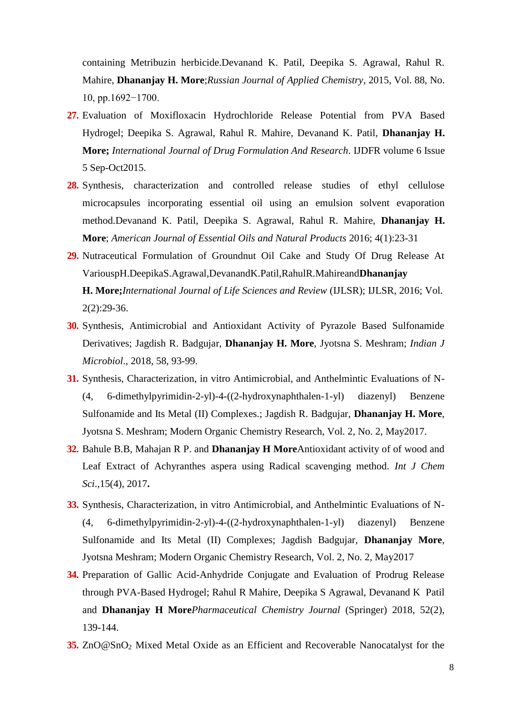containing Metribuzin herbicide.Devanand K. Patil, Deepika S. Agrawal, Rahul R. Mahire, **Dhananjay H. More**;*Russian Journal of Applied Chemistry*, 2015, Vol. 88, No. 10, pp.1692−1700.

- **27.** Evaluation of Moxifloxacin Hydrochloride Release Potential from PVA Based Hydrogel; Deepika S. Agrawal, Rahul R. Mahire, Devanand K. Patil, **Dhananjay H. More;** *International Journal of Drug Formulation And Research*. IJDFR volume 6 Issue 5 Sep-Oct2015.
- **28.** Synthesis, characterization and controlled release studies of ethyl cellulose microcapsules incorporating essential oil using an emulsion solvent evaporation method.Devanand K. Patil, Deepika S. Agrawal, Rahul R. Mahire, **Dhananjay H. More**; *American Journal of Essential Oils and Natural Products* 2016; 4(1):23-31
- **29.** Nutraceutical Formulation of Groundnut Oil Cake and Study Of Drug Release At VariouspH.DeepikaS.Agrawal,DevanandK.Patil,RahulR.Mahireand**Dhananjay H. More;***International Journal of Life Sciences and Review* (IJLSR); IJLSR, 2016; Vol.  $2(2):29-36.$
- **30.** Synthesis, Antimicrobial and Antioxidant Activity of Pyrazole Based Sulfonamide Derivatives; Jagdish R. Badgujar, **Dhananjay H. More**, Jyotsna S. Meshram; *Indian J Microbiol*., 2018, 58, 93-99.
- **31.** Synthesis, Characterization, in vitro Antimicrobial, and Anthelmintic Evaluations of N- (4, 6-dimethylpyrimidin-2-yl)-4-((2-hydroxynaphthalen-1-yl) diazenyl) Benzene Sulfonamide and Its Metal (II) Complexes.; Jagdish R. Badgujar, **Dhananjay H. More**, Jyotsna S. Meshram; Modern Organic Chemistry Research, Vol. 2, No. 2, May2017.
- **32.** Bahule B.B, Mahajan R P. and **Dhananjay H More**Antioxidant activity of of wood and Leaf Extract of Achyranthes aspera using Radical scavenging method. *Int J Chem Sci*.,15(4), 2017**.**
- **33.** Synthesis, Characterization, in vitro Antimicrobial, and Anthelmintic Evaluations of N- (4, 6-dimethylpyrimidin-2-yl)-4-((2-hydroxynaphthalen-1-yl) diazenyl) Benzene Sulfonamide and Its Metal (II) Complexes; Jagdish Badgujar, **Dhananjay More**, Jyotsna Meshram; Modern Organic Chemistry Research, Vol. 2, No. 2, May2017
- **34.** Preparation of Gallic Acid-Anhydride Conjugate and Evaluation of Prodrug Release through PVA-Based Hydrogel; Rahul R Mahire, Deepika S Agrawal, Devanand K Patil and **Dhananjay H More***Pharmaceutical Chemistry Journal* (Springer) 2018, 52(2), 139-144.
- **35.** ZnO@SnO<sub>2</sub> Mixed Metal Oxide as an Efficient and Recoverable Nanocatalyst for the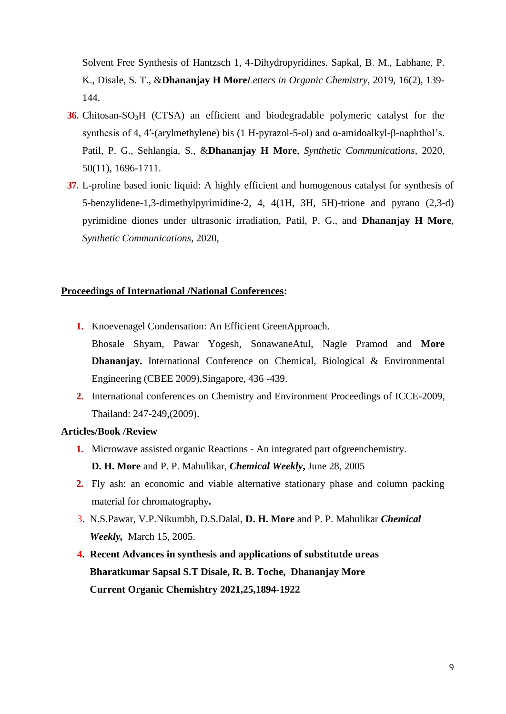Solvent Free Synthesis of Hantzsch 1, 4-Dihydropyridines. Sapkal, B. M., Labhane, P. K., Disale, S. T., &**Dhananjay H More***Letters in Organic Chemistry*, 2019, 16(2), 139- 144.

- **36.** Chitosan-SO<sub>3</sub>H (CTSA) an efficient and biodegradable polymeric catalyst for the synthesis of 4, 4′-(arylmethylene) bis (1 H-pyrazol-5-ol) and α-amidoalkyl-β-naphthol's. Patil, P. G., Sehlangia, S., &**Dhananjay H More**, *Synthetic Communications*, 2020, 50(11), 1696-1711.
- **37.** L-proline based ionic liquid: A highly efficient and homogenous catalyst for synthesis of 5-benzylidene-1,3-dimethylpyrimidine-2, 4, 4(1H, 3H, 5H)-trione and pyrano (2,3-d) pyrimidine diones under ultrasonic irradiation, Patil, P. G., and **Dhananjay H More**, *Synthetic Communications*, 2020,

#### **Proceedings of International /National Conferences:**

- **1.** Knoevenagel Condensation: An Efficient GreenApproach. Bhosale Shyam, Pawar Yogesh, SonawaneAtul, Nagle Pramod and **More Dhananjay.** International Conference on Chemical, Biological & Environmental Engineering (CBEE 2009),Singapore, 436 -439.
- **2.** International conferences on Chemistry and Environment Proceedings of ICCE-2009, Thailand: 247-249,(2009).

### **Articles/Book /Review**

- **1.** Microwave assisted organic Reactions An integrated part ofgreenchemistry. **D. H. More** and P. P. Mahulikar, *Chemical Weekly***,** June 28, 2005
- **2.** Fly ash: an economic and viable alternative stationary phase and column packing material for chromatography**.**
- 3. N.S.Pawar, V.P.Nikumbh, D.S.Dalal, **D. H. More** and P. P. Mahulikar *Chemical Weekly,* March 15, 2005.
- **4. Recent Advances in synthesis and applications of substitutde ureas Bharatkumar Sapsal S.T Disale, R. B. Toche, Dhananjay More Current Organic Chemishtry 2021,25,1894-1922**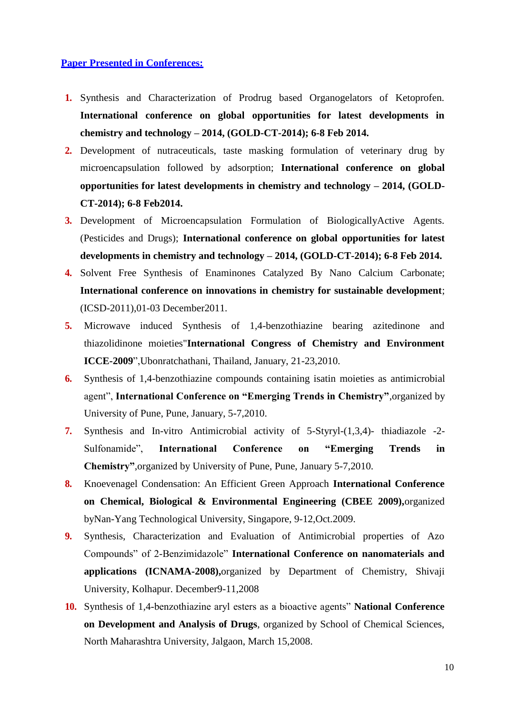## **Paper Presented in Conferences:**

- **1.** Synthesis and Characterization of Prodrug based Organogelators of Ketoprofen. **International conference on global opportunities for latest developments in chemistry and technology – 2014, (GOLD-CT-2014); 6-8 Feb 2014.**
- **2.** Development of nutraceuticals, taste masking formulation of veterinary drug by microencapsulation followed by adsorption; **International conference on global opportunities for latest developments in chemistry and technology – 2014, (GOLD-CT-2014); 6-8 Feb2014.**
- **3.** Development of Microencapsulation Formulation of BiologicallyActive Agents. (Pesticides and Drugs); **International conference on global opportunities for latest developments in chemistry and technology – 2014, (GOLD-CT-2014); 6-8 Feb 2014.**
- **4.** Solvent Free Synthesis of Enaminones Catalyzed By Nano Calcium Carbonate; **International conference on innovations in chemistry for sustainable development**; (ICSD-2011),01-03 December2011.
- **5.** Microwave induced Synthesis of 1,4-benzothiazine bearing azitedinone and thiazolidinone moieties"**International Congress of Chemistry and Environment ICCE-2009**",Ubonratchathani, Thailand, January, 21-23,2010.
- **6.** Synthesis of 1,4-benzothiazine compounds containing isatin moieties as antimicrobial agent", **International Conference on "Emerging Trends in Chemistry"**,organized by University of Pune, Pune, January, 5-7,2010.
- **7.** Synthesis and In-vitro Antimicrobial activity of 5-Styryl-(1,3,4)- thiadiazole -2- Sulfonamide", **International Conference on "Emerging Trends in Chemistry"**,organized by University of Pune, Pune, January 5-7,2010.
- **8.** Knoevenagel Condensation: An Efficient Green Approach **International Conference on Chemical, Biological & Environmental Engineering (CBEE 2009),**organized byNan-Yang Technological University, Singapore, 9-12,Oct.2009.
- **9.** Synthesis, Characterization and Evaluation of Antimicrobial properties of Azo Compounds" of 2-Benzimidazole" **International Conference on nanomaterials and applications (ICNAMA-2008),**organized by Department of Chemistry, Shivaji University, Kolhapur. December9-11,2008
- **10.** Synthesis of 1,4-benzothiazine aryl esters as a bioactive agents" **National Conference on Development and Analysis of Drugs**, organized by School of Chemical Sciences, North Maharashtra University, Jalgaon, March 15,2008.